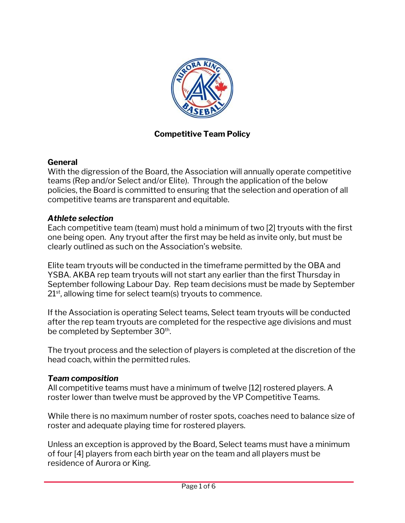

### **Competitive Team Policy**

### **General**

With the digression of the Board, the Association will annually operate competitive teams (Rep and/or Select and/or Elite). Through the application of the below policies, the Board is committed to ensuring that the selection and operation of all competitive teams are transparent and equitable.

### *Athlete selection*

Each competitive team (team) must hold a minimum of two [2] tryouts with the first one being open. Any tryout after the first may be held as invite only, but must be clearly outlined as such on the Association's website.

Elite team tryouts will be conducted in the timeframe permitted by the OBA and YSBA. AKBA rep team tryouts will not start any earlier than the first Thursday in September following Labour Day. Rep team decisions must be made by September 21<sup>st</sup>, allowing time for select team(s) tryouts to commence.

If the Association is operating Select teams, Select team tryouts will be conducted after the rep team tryouts are completed for the respective age divisions and must be completed by September 30<sup>th</sup>.

The tryout process and the selection of players is completed at the discretion of the head coach, within the permitted rules.

### *Team composition*

All competitive teams must have a minimum of twelve [12] rostered players. A roster lower than twelve must be approved by the VP Competitive Teams.

While there is no maximum number of roster spots, coaches need to balance size of roster and adequate playing time for rostered players.

Unless an exception is approved by the Board, Select teams must have a minimum of four [4] players from each birth year on the team and all players must be residence of Aurora or King.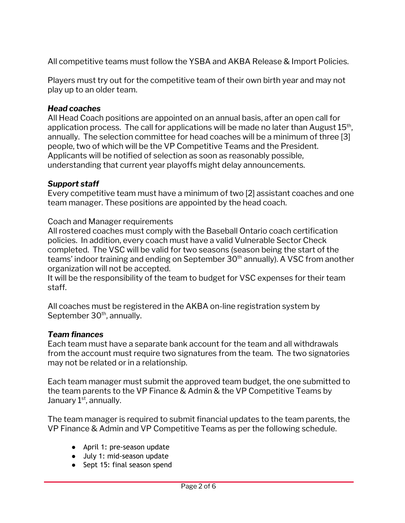All competitive teams must follow the YSBA and AKBA Release & Import Policies.

Players must try out for the competitive team of their own birth year and may not play up to an older team.

### *Head coaches*

All Head Coach positions are appointed on an annual basis, after an open call for application process. The call for applications will be made no later than August 15<sup>th</sup>, annually. The selection committee for head coaches will be a minimum of three [3] people, two of which will be the VP Competitive Teams and the President. Applicants will be notified of selection as soon as reasonably possible, understanding that current year playoffs might delay announcements.

## *Support staff*

Every competitive team must have a minimum of two [2] assistant coaches and one team manager. These positions are appointed by the head coach.

Coach and Manager requirements

All rostered coaches must comply with the Baseball Ontario coach certification policies. In addition, every coach must have a valid Vulnerable Sector Check completed. The VSC will be valid for two seasons (season being the start of the teams' indoor training and ending on September 30 $^{\text{th}}$  annually). A VSC from another organization will not be accepted.

It will be the responsibility of the team to budget for VSC expenses for their team staff.

All coaches must be registered in the AKBA on-line registration system by September 30<sup>th</sup>, annually.

### *Team finances*

Each team must have a separate bank account for the team and all withdrawals from the account must require two signatures from the team. The two signatories may not be related or in a relationship.

Each team manager must submit the approved team budget, the one submitted to the team parents to the VP Finance & Admin & the VP Competitive Teams by January 1<sup>st</sup>, annually.

The team manager is required to submit financial updates to the team parents, the VP Finance & Admin and VP Competitive Teams as per the following schedule.

- April 1: pre-season update
- July 1: mid-season update
- Sept 15: final season spend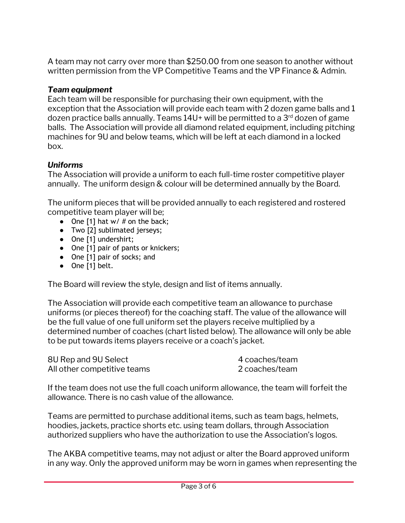A team may not carry over more than \$250.00 from one season to another without written permission from the VP Competitive Teams and the VP Finance & Admin.

### *Team equipment*

Each team will be responsible for purchasing their own equipment, with the exception that the Association will provide each team with 2 dozen game balls and 1 dozen practice balls annually. Teams 14U+ will be permitted to a 3<sup>rd</sup> dozen of game balls. The Association will provide all diamond related equipment, including pitching machines for 9U and below teams, which will be left at each diamond in a locked box.

### *Uniforms*

The Association will provide a uniform to each full-time roster competitive player annually. The uniform design & colour will be determined annually by the Board.

The uniform pieces that will be provided annually to each registered and rostered competitive team player will be;

- One [1] hat  $w/$  # on the back;
- Two [2] sublimated jerseys;
- One [1] undershirt;
- One [1] pair of pants or knickers;
- One [1] pair of socks; and
- One [1] belt.

The Board will review the style, design and list of items annually.

The Association will provide each competitive team an allowance to purchase uniforms (or pieces thereof) for the coaching staff. The value of the allowance will be the full value of one full uniform set the players receive multiplied by a determined number of coaches (chart listed below). The allowance will only be able to be put towards items players receive or a coach's jacket.

| 8U Rep and 9U Select        | 4 coaches/team |
|-----------------------------|----------------|
| All other competitive teams | 2 coaches/team |

If the team does not use the full coach uniform allowance, the team will forfeit the allowance. There is no cash value of the allowance.

Teams are permitted to purchase additional items, such as team bags, helmets, hoodies, jackets, practice shorts etc. using team dollars, through Association authorized suppliers who have the authorization to use the Association's logos.

The AKBA competitive teams, may not adjust or alter the Board approved uniform in any way. Only the approved uniform may be worn in games when representing the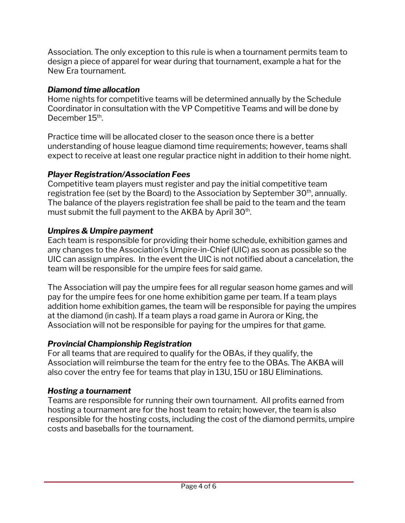Association. The only exception to this rule is when a tournament permits team to design a piece of apparel for wear during that tournament, example a hat for the New Era tournament.

## *Diamond time allocation*

Home nights for competitive teams will be determined annually by the Schedule Coordinator in consultation with the VP Competitive Teams and will be done by December 15<sup>th</sup>.

Practice time will be allocated closer to the season once there is a better understanding of house league diamond time requirements; however, teams shall expect to receive at least one regular practice night in addition to their home night.

## *Player Registration/Association Fees*

Competitive team players must register and pay the initial competitive team registration fee (set by the Board) to the Association by September 30<sup>th</sup>, annually. The balance of the players registration fee shall be paid to the team and the team must submit the full payment to the AKBA by April 30<sup>th</sup>.

# *Umpires & Umpire payment*

Each team is responsible for providing their home schedule, exhibition games and any changes to the Association's Umpire-in-Chief (UIC) as soon as possible so the UIC can assign umpires. In the event the UIC is not notified about a cancelation, the team will be responsible for the umpire fees for said game.

The Association will pay the umpire fees for all regular season home games and will pay for the umpire fees for one home exhibition game per team. If a team plays addition home exhibition games, the team will be responsible for paying the umpires at the diamond (in cash). If a team plays a road game in Aurora or King, the Association will not be responsible for paying for the umpires for that game.

# *Provincial Championship Registration*

For all teams that are required to qualify for the OBAs, if they qualify, the Association will reimburse the team for the entry fee to the OBAs. The AKBA will also cover the entry fee for teams that play in 13U, 15U or 18U Eliminations.

# *Hosting a tournament*

Teams are responsible for running their own tournament. All profits earned from hosting a tournament are for the host team to retain; however, the team is also responsible for the hosting costs, including the cost of the diamond permits, umpire costs and baseballs for the tournament.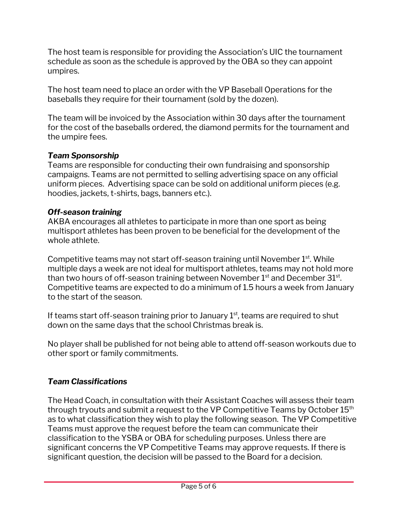The host team is responsible for providing the Association's UIC the tournament schedule as soon as the schedule is approved by the OBA so they can appoint umpires.

The host team need to place an order with the VP Baseball Operations for the baseballs they require for their tournament (sold by the dozen).

The team will be invoiced by the Association within 30 days after the tournament for the cost of the baseballs ordered, the diamond permits for the tournament and the umpire fees.

## *Team Sponsorship*

Teams are responsible for conducting their own fundraising and sponsorship campaigns. Teams are not permitted to selling advertising space on any official uniform pieces. Advertising space can be sold on additional uniform pieces (e.g. hoodies, jackets, t-shirts, bags, banners etc.).

## *Off-season training*

AKBA encourages all athletes to participate in more than one sport as being multisport athletes has been proven to be beneficial for the development of the whole athlete.

Competitive teams may not start off-season training until November 1<sup>st</sup>. While multiple days a week are not ideal for multisport athletes, teams may not hold more than two hours of off-season training between November  $1^\mathrm{st}$  and December  $31^\mathrm{st}$ . Competitive teams are expected to do a minimum of 1.5 hours a week from January to the start of the season.

If teams start off-season training prior to January  $1<sup>st</sup>$ , teams are required to shut down on the same days that the school Christmas break is.

No player shall be published for not being able to attend off-season workouts due to other sport or family commitments.

## *Team Classifications*

The Head Coach, in consultation with their Assistant Coaches will assess their team through tryouts and submit a request to the VP Competitive Teams by October  $15^{\text{th}}$ as to what classification they wish to play the following season. The VP Competitive Teams must approve the request before the team can communicate their classification to the YSBA or OBA for scheduling purposes. Unless there are significant concerns the VP Competitive Teams may approve requests. If there is significant question, the decision will be passed to the Board for a decision.